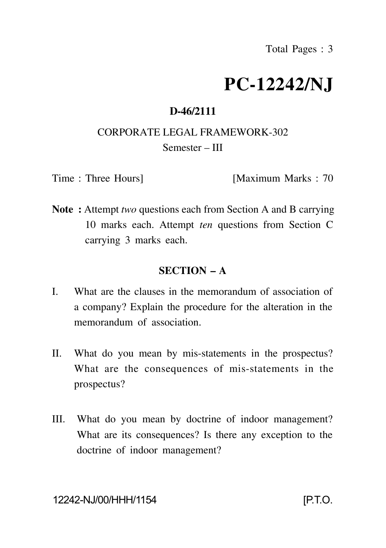# **PC-12242/NJ**

## **D-46/2111**

# CORPORATE LEGAL FRAMEWORK-302 Semester – III

Time : Three Hours] [Maximum Marks : 70

**Note :** Attempt *two* questions each from Section A and B carrying 10 marks each. Attempt *ten* questions from Section C carrying 3 marks each.

## **SECTION – A**

- I. What are the clauses in the memorandum of association of a company? Explain the procedure for the alteration in the memorandum of association.
- II. What do you mean by mis-statements in the prospectus? What are the consequences of mis-statements in the prospectus?
- III. What do you mean by doctrine of indoor management? What are its consequences? Is there any exception to the doctrine of indoor management?

#### 12242-NJ/00/HHH/1154 [P.T.O.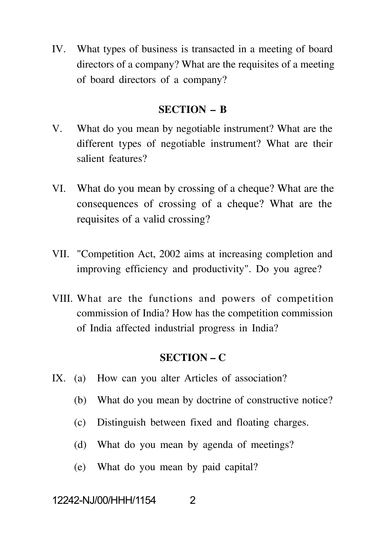IV. What types of business is transacted in a meeting of board directors of a company? What are the requisites of a meeting of board directors of a company?

#### **SECTION – B**

- V. What do you mean by negotiable instrument? What are the different types of negotiable instrument? What are their salient features?
- VI. What do you mean by crossing of a cheque? What are the consequences of crossing of a cheque? What are the requisites of a valid crossing?
- VII. "Competition Act, 2002 aims at increasing completion and improving efficiency and productivity". Do you agree?
- VIII. What are the functions and powers of competition commission of India? How has the competition commission of India affected industrial progress in India?

## **SECTION – C**

- IX. (a) How can you alter Articles of association?
	- (b) What do you mean by doctrine of constructive notice?
	- (c) Distinguish between fixed and floating charges.
	- (d) What do you mean by agenda of meetings?
	- (e) What do you mean by paid capital?

## 12242-NJ/00/HHH/1154 2